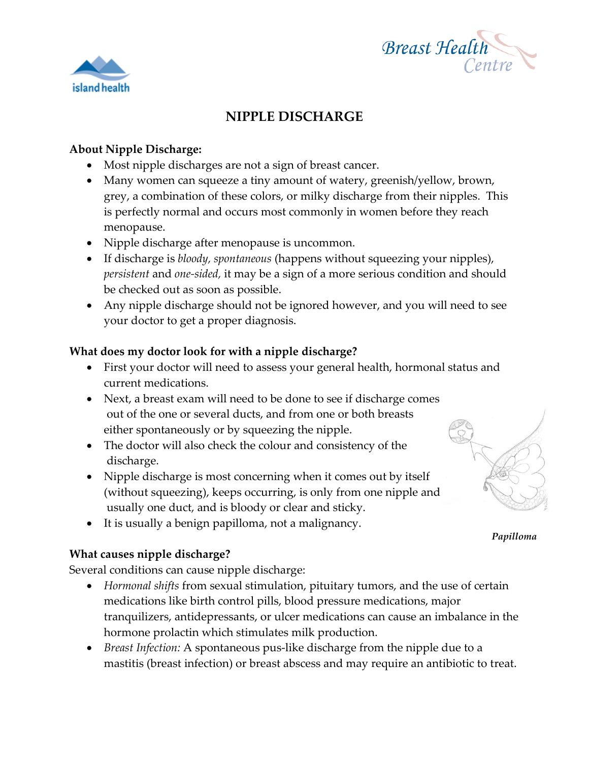



## **About Nipple Discharge:**

island health

- Most nipple discharges are not a sign of breast cancer.
- Many women can squeeze a tiny amount of watery, greenish/yellow, brown, grey, a combination of these colors, or milky discharge from their nipples. This is perfectly normal and occurs most commonly in women before they reach menopause.
- Nipple discharge after menopause is uncommon.
- If discharge is *bloody, spontaneous* (happens without squeezing your nipples), *persistent* and *one-sided,* it may be a sign of a more serious condition and should be checked out as soon as possible.
- Any nipple discharge should not be ignored however, and you will need to see your doctor to get a proper diagnosis.

### **What does my doctor look for with a nipple discharge?**

- First your doctor will need to assess your general health, hormonal status and current medications.
- Next, a breast exam will need to be done to see if discharge comes out of the one or several ducts, and from one or both breasts either spontaneously or by squeezing the nipple.
- The doctor will also check the colour and consistency of the discharge.
- Nipple discharge is most concerning when it comes out by itself (without squeezing), keeps occurring, is only from one nipple and usually one duct, and is bloody or clear and sticky.
- It is usually a benign papilloma, not a malignancy.

#### **What causes nipple discharge?**

Several conditions can cause nipple discharge:

- *Hormonal shifts* from sexual stimulation, pituitary tumors, and the use of certain medications like birth control pills, blood pressure medications, major tranquilizers, antidepressants, or ulcer medications can cause an imbalance in the hormone prolactin which stimulates milk production.
- *Breast Infection:* A spontaneous pus-like discharge from the nipple due to a mastitis (breast infection) or breast abscess and may require an antibiotic to treat.



*Papilloma*